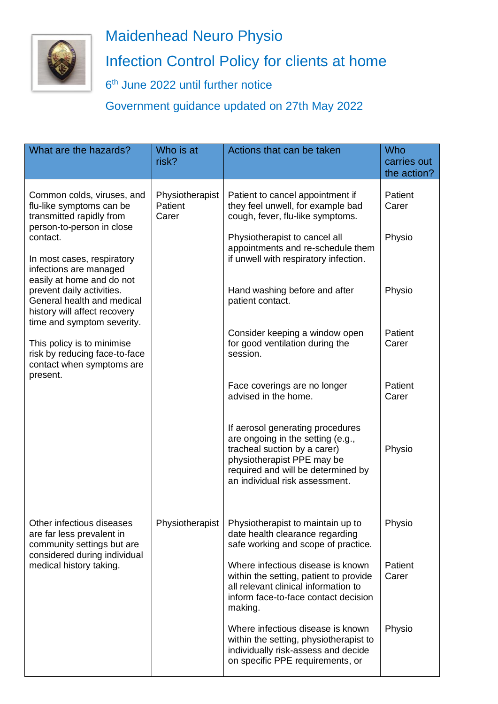

## Maidenhead Neuro Physio Infection Control Policy for clients at home

6<sup>th</sup> June 2022 until further notice

Government guidance updated on 27th May 2022

| What are the hazards?                                                                                                                                                                                                                                                                                                                                                                                                                             | Who is at<br>risk?                  | Actions that can be taken                                                                                                                                                                                   | Who<br>carries out<br>the action? |
|---------------------------------------------------------------------------------------------------------------------------------------------------------------------------------------------------------------------------------------------------------------------------------------------------------------------------------------------------------------------------------------------------------------------------------------------------|-------------------------------------|-------------------------------------------------------------------------------------------------------------------------------------------------------------------------------------------------------------|-----------------------------------|
| Common colds, viruses, and<br>flu-like symptoms can be<br>transmitted rapidly from<br>person-to-person in close<br>contact.<br>In most cases, respiratory<br>infections are managed<br>easily at home and do not<br>prevent daily activities.<br>General health and medical<br>history will affect recovery<br>time and symptom severity.<br>This policy is to minimise<br>risk by reducing face-to-face<br>contact when symptoms are<br>present. | Physiotherapist<br>Patient<br>Carer | Patient to cancel appointment if<br>they feel unwell, for example bad<br>cough, fever, flu-like symptoms.                                                                                                   | Patient<br>Carer                  |
|                                                                                                                                                                                                                                                                                                                                                                                                                                                   |                                     | Physiotherapist to cancel all<br>appointments and re-schedule them<br>if unwell with respiratory infection.                                                                                                 | Physio                            |
|                                                                                                                                                                                                                                                                                                                                                                                                                                                   |                                     | Hand washing before and after<br>patient contact.                                                                                                                                                           | Physio                            |
|                                                                                                                                                                                                                                                                                                                                                                                                                                                   |                                     | Consider keeping a window open<br>for good ventilation during the<br>session.                                                                                                                               | Patient<br>Carer                  |
|                                                                                                                                                                                                                                                                                                                                                                                                                                                   |                                     | Face coverings are no longer<br>advised in the home.                                                                                                                                                        | Patient<br>Carer                  |
|                                                                                                                                                                                                                                                                                                                                                                                                                                                   |                                     | If aerosol generating procedures<br>are ongoing in the setting (e.g.,<br>tracheal suction by a carer)<br>physiotherapist PPE may be<br>required and will be determined by<br>an individual risk assessment. | Physio                            |
| Other infectious diseases<br>are far less prevalent in<br>community settings but are<br>considered during individual<br>medical history taking.                                                                                                                                                                                                                                                                                                   | Physiotherapist                     | Physiotherapist to maintain up to<br>date health clearance regarding<br>safe working and scope of practice.                                                                                                 | Physio                            |
|                                                                                                                                                                                                                                                                                                                                                                                                                                                   |                                     | Where infectious disease is known<br>within the setting, patient to provide<br>all relevant clinical information to<br>inform face-to-face contact decision<br>making.                                      | Patient<br>Carer                  |
|                                                                                                                                                                                                                                                                                                                                                                                                                                                   |                                     | Where infectious disease is known<br>within the setting, physiotherapist to<br>individually risk-assess and decide<br>on specific PPE requirements, or                                                      | Physio                            |